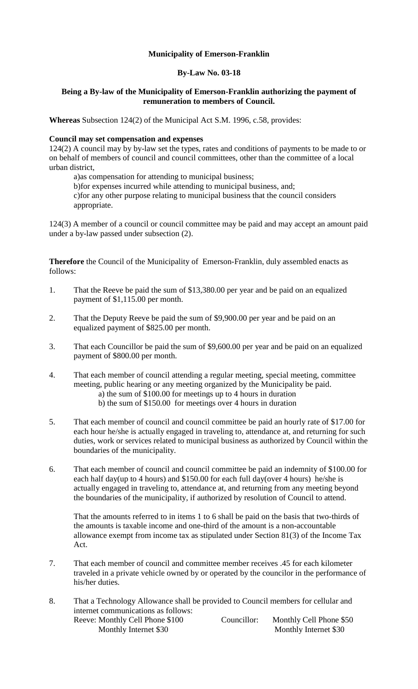## **Municipality of Emerson-Franklin**

## **By-Law No. 03-18**

## **Being a By-law of the Municipality of Emerson-Franklin authorizing the payment of remuneration to members of Council.**

**Whereas** Subsection 124(2) of the Municipal Act S.M. 1996, c.58, provides:

## **Council may set compensation and expenses**

124(2) A council may by by-law set the types, rates and conditions of payments to be made to or on behalf of members of council and council committees, other than the committee of a local urban district,

a)as compensation for attending to municipal business;

b)for expenses incurred while attending to municipal business, and; c)for any other purpose relating to municipal business that the council considers appropriate.

124(3) A member of a council or council committee may be paid and may accept an amount paid under a by-law passed under subsection (2).

**Therefore** the Council of the Municipality of Emerson-Franklin, duly assembled enacts as follows:

- 1. That the Reeve be paid the sum of \$13,380.00 per year and be paid on an equalized payment of \$1,115.00 per month.
- 2. That the Deputy Reeve be paid the sum of \$9,900.00 per year and be paid on an equalized payment of \$825.00 per month.
- 3. That each Councillor be paid the sum of \$9,600.00 per year and be paid on an equalized payment of \$800.00 per month.
- 4. That each member of council attending a regular meeting, special meeting, committee meeting, public hearing or any meeting organized by the Municipality be paid.
	- a) the sum of \$100.00 for meetings up to 4 hours in duration b) the sum of \$150.00 for meetings over 4 hours in duration
- 5. That each member of council and council committee be paid an hourly rate of \$17.00 for each hour he/she is actually engaged in traveling to, attendance at, and returning for such duties, work or services related to municipal business as authorized by Council within the boundaries of the municipality.
- 6. That each member of council and council committee be paid an indemnity of \$100.00 for each half day(up to 4 hours) and \$150.00 for each full day(over 4 hours) he/she is actually engaged in traveling to, attendance at, and returning from any meeting beyond the boundaries of the municipality, if authorized by resolution of Council to attend.

That the amounts referred to in items 1 to 6 shall be paid on the basis that two-thirds of the amounts is taxable income and one-third of the amount is a non-accountable allowance exempt from income tax as stipulated under Section 81(3) of the Income Tax Act.

- 7. That each member of council and committee member receives .45 for each kilometer traveled in a private vehicle owned by or operated by the councilor in the performance of his/her duties.
- 8. That a Technology Allowance shall be provided to Council members for cellular and internet communications as follows: Reeve: Monthly Cell Phone \$100 Councillor: Monthly Cell Phone \$50 Monthly Internet \$30 Monthly Internet \$30